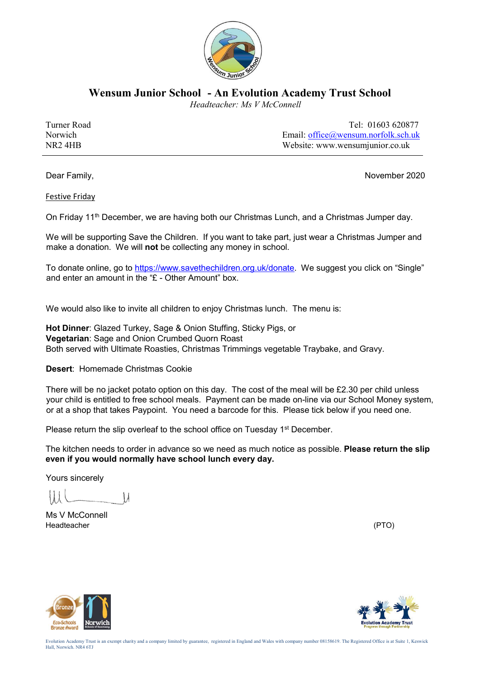

**Wensum Junior School - An Evolution Academy Trust School**

 *Headteacher: Ms V McConnell*

Turner Road Tel: 01603 620877 Norwich Email: office@wensum.norfolk.sch.uk NR2 4HB Website: www.wensumjunior.co.uk

Dear Family, November 2020

Festive Friday

On Friday 11<sup>th</sup> December, we are having both our Christmas Lunch, and a Christmas Jumper day.

We will be supporting Save the Children. If you want to take part, just wear a Christmas Jumper and make a donation. We will **not** be collecting any money in school.

To donate online, go to https://www.savethechildren.org.uk/donate. We suggest you click on "Single" and enter an amount in the "£ - Other Amount" box.

We would also like to invite all children to enjoy Christmas lunch. The menu is:

**Hot Dinner**: Glazed Turkey, Sage & Onion Stuffing, Sticky Pigs, or **Vegetarian**: Sage and Onion Crumbed Quorn Roast Both served with Ultimate Roasties, Christmas Trimmings vegetable Traybake, and Gravy.

**Desert**: Homemade Christmas Cookie

There will be no jacket potato option on this day. The cost of the meal will be £2.30 per child unless your child is entitled to free school meals. Payment can be made on-line via our School Money system, or at a shop that takes Paypoint. You need a barcode for this. Please tick below if you need one.

Please return the slip overleaf to the school office on Tuesday 1<sup>st</sup> December.

The kitchen needs to order in advance so we need as much notice as possible. **Please return the slip even if you would normally have school lunch every day.** 

Yours sincerely

 $\mathcal{M}$ 

Ms V McConnell Headteacher (PTO)